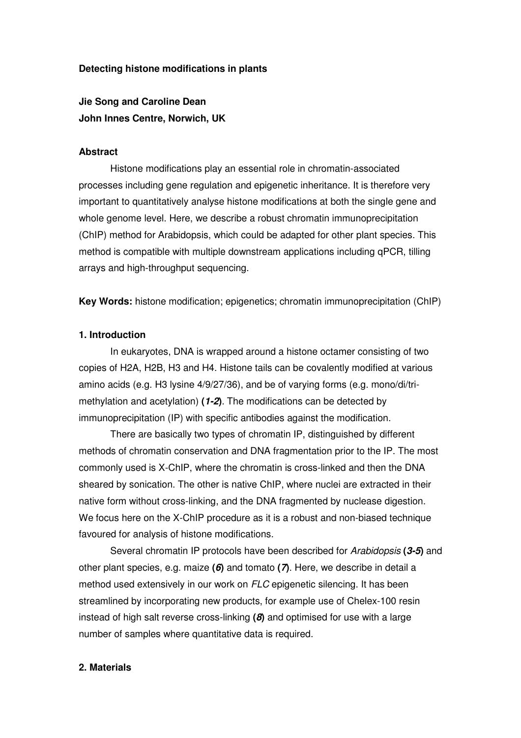#### **Detecting histone modifications in plants**

**Jie Song and Caroline Dean John Innes Centre, Norwich, UK** 

#### **Abstract**

Histone modifications play an essential role in chromatin-associated processes including gene regulation and epigenetic inheritance. It is therefore very important to quantitatively analyse histone modifications at both the single gene and whole genome level. Here, we describe a robust chromatin immunoprecipitation (ChIP) method for Arabidopsis, which could be adapted for other plant species. This method is compatible with multiple downstream applications including qPCR, tilling arrays and high-throughput sequencing.

**Key Words:** histone modification; epigenetics; chromatin immunoprecipitation (ChIP)

#### **1. Introduction**

In eukaryotes, DNA is wrapped around a histone octamer consisting of two copies of H2A, H2B, H3 and H4. Histone tails can be covalently modified at various amino acids (e.g. H3 lysine 4/9/27/36), and be of varying forms (e.g. mono/di/trimethylation and acetylation) **(1-2)**. The modifications can be detected by immunoprecipitation (IP) with specific antibodies against the modification.

There are basically two types of chromatin IP, distinguished by different methods of chromatin conservation and DNA fragmentation prior to the IP. The most commonly used is X-ChIP, where the chromatin is cross-linked and then the DNA sheared by sonication. The other is native ChIP, where nuclei are extracted in their native form without cross-linking, and the DNA fragmented by nuclease digestion. We focus here on the X-ChIP procedure as it is a robust and non-biased technique favoured for analysis of histone modifications.

Several chromatin IP protocols have been described for Arabidopsis **(3-5)** and other plant species, e.g. maize **(6)** and tomato **(7)**. Here, we describe in detail a method used extensively in our work on FLC epigenetic silencing. It has been streamlined by incorporating new products, for example use of Chelex-100 resin instead of high salt reverse cross-linking **(8)** and optimised for use with a large number of samples where quantitative data is required.

#### **2. Materials**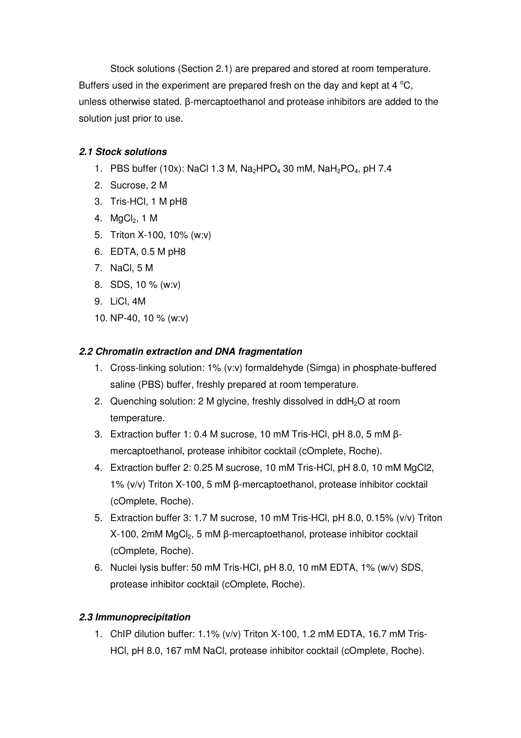Stock solutions (Section 2.1) are prepared and stored at room temperature. Buffers used in the experiment are prepared fresh on the day and kept at  $4\degree C$ . unless otherwise stated. β-mercaptoethanol and protease inhibitors are added to the solution just prior to use.

## **2.1 Stock solutions**

- 1. PBS buffer (10x): NaCl 1.3 M, Na<sub>2</sub>HPO<sub>4</sub> 30 mM, NaH<sub>2</sub>PO<sub>4</sub>, pH 7.4
- 2. Sucrose, 2 M
- 3. Tris-HCl, 1 M pH8
- 4. MaCl<sub>2</sub>, 1 M
- 5. Triton X-100, 10% (w:v)
- 6. EDTA, 0.5 M pH8
- 7. NaCl, 5 M
- 8. SDS, 10 % (w:v)
- 9. LiCl, 4M
- 10. NP-40, 10 % (w:v)

## **2.2 Chromatin extraction and DNA fragmentation**

- 1. Cross-linking solution: 1% (v:v) formaldehyde (Simga) in phosphate-buffered saline (PBS) buffer, freshly prepared at room temperature.
- 2. Quenching solution: 2 M glycine, freshly dissolved in  $ddH<sub>2</sub>O$  at room temperature.
- 3. Extraction buffer 1: 0.4 M sucrose, 10 mM Tris-HCl, pH 8.0, 5 mM βmercaptoethanol, protease inhibitor cocktail (cOmplete, Roche).
- 4. Extraction buffer 2: 0.25 M sucrose, 10 mM Tris-HCl, pH 8.0, 10 mM MgCl2, 1% (v/v) Triton X-100, 5 mM β-mercaptoethanol, protease inhibitor cocktail (cOmplete, Roche).
- 5. Extraction buffer 3: 1.7 M sucrose, 10 mM Tris-HCl, pH 8.0, 0.15% (v/v) Triton X-100, 2mM MgCl<sub>2</sub>, 5 mM β-mercaptoethanol, protease inhibitor cocktail (cOmplete, Roche).
- 6. Nuclei lysis buffer: 50 mM Tris-HCl, pH 8.0, 10 mM EDTA, 1% (w/v) SDS, protease inhibitor cocktail (cOmplete, Roche).

# **2.3 Immunoprecipitation**

1. ChIP dilution buffer: 1.1% (v/v) Triton X-100, 1.2 mM EDTA, 16.7 mM Tris-HCl, pH 8.0, 167 mM NaCl, protease inhibitor cocktail (cOmplete, Roche).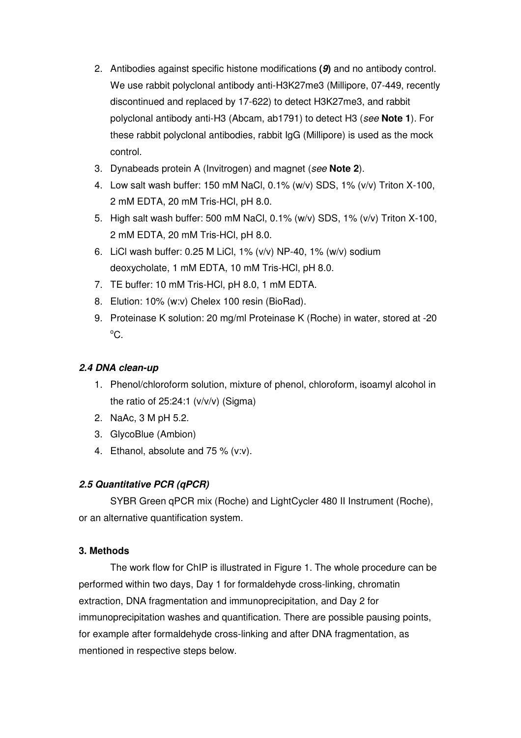- 2. Antibodies against specific histone modifications **(9)** and no antibody control. We use rabbit polyclonal antibody anti-H3K27me3 (Millipore, 07-449, recently discontinued and replaced by 17-622) to detect H3K27me3, and rabbit polyclonal antibody anti-H3 (Abcam, ab1791) to detect H3 (see **Note 1**). For these rabbit polyclonal antibodies, rabbit IgG (Millipore) is used as the mock control.
- 3. Dynabeads protein A (Invitrogen) and magnet (see **Note 2**).
- 4. Low salt wash buffer: 150 mM NaCl, 0.1% (w/v) SDS, 1% (v/v) Triton X-100, 2 mM EDTA, 20 mM Tris-HCl, pH 8.0.
- 5. High salt wash buffer: 500 mM NaCl, 0.1% (w/v) SDS, 1% (v/v) Triton X-100, 2 mM EDTA, 20 mM Tris-HCl, pH 8.0.
- 6. LiCl wash buffer: 0.25 M LiCl, 1% (v/v) NP-40, 1% (w/v) sodium deoxycholate, 1 mM EDTA, 10 mM Tris-HCl, pH 8.0.
- 7. TE buffer: 10 mM Tris-HCl, pH 8.0, 1 mM EDTA.
- 8. Elution: 10% (w:v) Chelex 100 resin (BioRad).
- 9. Proteinase K solution: 20 mg/ml Proteinase K (Roche) in water, stored at -20  $^{\circ}C.$

## **2.4 DNA clean-up**

- 1. Phenol/chloroform solution, mixture of phenol, chloroform, isoamyl alcohol in the ratio of  $25:24:1$  ( $v/v/v$ ) (Sigma)
- 2. NaAc, 3 M pH 5.2.
- 3. GlycoBlue (Ambion)
- 4. Ethanol, absolute and 75 % (v:v).

### **2.5 Quantitative PCR (qPCR)**

SYBR Green qPCR mix (Roche) and LightCycler 480 II Instrument (Roche), or an alternative quantification system.

### **3. Methods**

The work flow for ChIP is illustrated in Figure 1. The whole procedure can be performed within two days, Day 1 for formaldehyde cross-linking, chromatin extraction, DNA fragmentation and immunoprecipitation, and Day 2 for immunoprecipitation washes and quantification. There are possible pausing points, for example after formaldehyde cross-linking and after DNA fragmentation, as mentioned in respective steps below.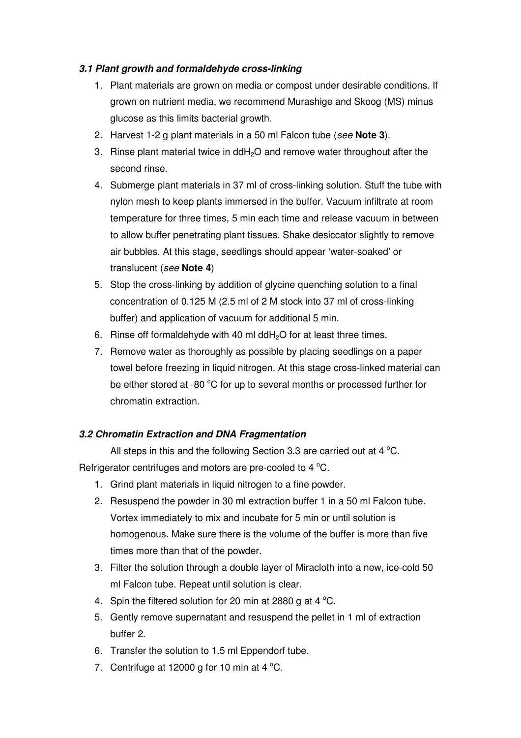## **3.1 Plant growth and formaldehyde cross-linking**

- 1. Plant materials are grown on media or compost under desirable conditions. If grown on nutrient media, we recommend Murashige and Skoog (MS) minus glucose as this limits bacterial growth.
- 2. Harvest 1-2 g plant materials in a 50 ml Falcon tube (see **Note 3**).
- 3. Rinse plant material twice in ddH2O and remove water throughout after the second rinse.
- 4. Submerge plant materials in 37 ml of cross-linking solution. Stuff the tube with nylon mesh to keep plants immersed in the buffer. Vacuum infiltrate at room temperature for three times, 5 min each time and release vacuum in between to allow buffer penetrating plant tissues. Shake desiccator slightly to remove air bubbles. At this stage, seedlings should appear 'water-soaked' or translucent (see **Note 4**)
- 5. Stop the cross-linking by addition of glycine quenching solution to a final concentration of 0.125 M (2.5 ml of 2 M stock into 37 ml of cross-linking buffer) and application of vacuum for additional 5 min.
- 6. Rinse off formaldehyde with 40 ml dd $H_2O$  for at least three times.
- 7. Remove water as thoroughly as possible by placing seedlings on a paper towel before freezing in liquid nitrogen. At this stage cross-linked material can be either stored at -80  $^{\circ}$ C for up to several months or processed further for chromatin extraction.

## **3.2 Chromatin Extraction and DNA Fragmentation**

All steps in this and the following Section 3.3 are carried out at 4  $^{\circ}$ C. Refrigerator centrifuges and motors are pre-cooled to 4  $^{\circ}$ C.

- 1. Grind plant materials in liquid nitrogen to a fine powder.
- 2. Resuspend the powder in 30 ml extraction buffer 1 in a 50 ml Falcon tube. Vortex immediately to mix and incubate for 5 min or until solution is homogenous. Make sure there is the volume of the buffer is more than five times more than that of the powder.
- 3. Filter the solution through a double layer of Miracloth into a new, ice-cold 50 ml Falcon tube. Repeat until solution is clear.
- 4. Spin the filtered solution for 20 min at 2880 g at 4  $^{\circ}$ C.
- 5. Gently remove supernatant and resuspend the pellet in 1 ml of extraction buffer 2.
- 6. Transfer the solution to 1.5 ml Eppendorf tube.
- 7. Centrifuge at 12000 g for 10 min at 4  $^{\circ}$ C.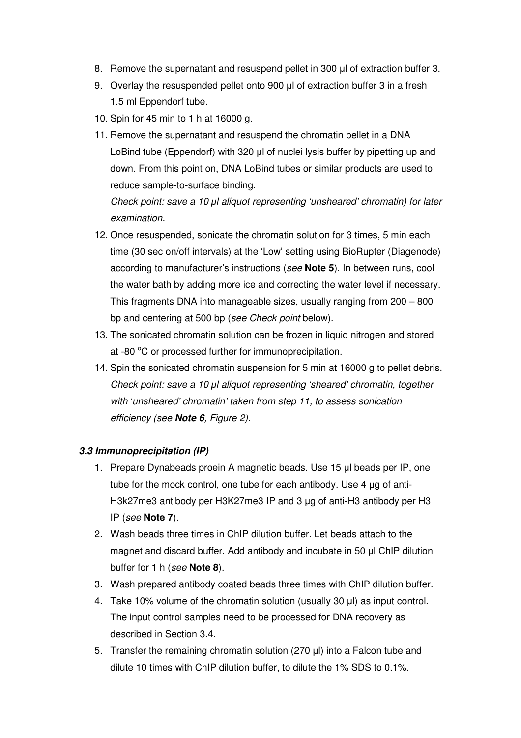- 8. Remove the supernatant and resuspend pellet in 300 µl of extraction buffer 3.
- 9. Overlay the resuspended pellet onto 900 µl of extraction buffer 3 in a fresh 1.5 ml Eppendorf tube.
- 10. Spin for 45 min to 1 h at 16000 g.
- 11. Remove the supernatant and resuspend the chromatin pellet in a DNA LoBind tube (Eppendorf) with 320 µl of nuclei lysis buffer by pipetting up and down. From this point on, DNA LoBind tubes or similar products are used to reduce sample-to-surface binding.

Check point: save a 10 µl aliquot representing 'unsheared' chromatin) for later examination.

- 12. Once resuspended, sonicate the chromatin solution for 3 times, 5 min each time (30 sec on/off intervals) at the 'Low' setting using BioRupter (Diagenode) according to manufacturer's instructions (see **Note 5**). In between runs, cool the water bath by adding more ice and correcting the water level if necessary. This fragments DNA into manageable sizes, usually ranging from 200 – 800 bp and centering at 500 bp (see Check point below).
- 13. The sonicated chromatin solution can be frozen in liquid nitrogen and stored at -80 °C or processed further for immunoprecipitation.
- 14. Spin the sonicated chromatin suspension for 5 min at 16000 g to pellet debris. Check point: save a 10 µl aliquot representing 'sheared' chromatin, together with 'unsheared' chromatin' taken from step 11, to assess sonication efficiency (see **Note 6**, Figure 2).

## **3.3 Immunoprecipitation (IP)**

- 1. Prepare Dynabeads proein A magnetic beads. Use 15 µl beads per IP, one tube for the mock control, one tube for each antibody. Use 4 ug of anti-H3k27me3 antibody per H3K27me3 IP and 3 µg of anti-H3 antibody per H3 IP (see **Note 7**).
- 2. Wash beads three times in ChIP dilution buffer. Let beads attach to the magnet and discard buffer. Add antibody and incubate in 50 µl ChIP dilution buffer for 1 h (see **Note 8**).
- 3. Wash prepared antibody coated beads three times with ChIP dilution buffer.
- 4. Take 10% volume of the chromatin solution (usually 30 µl) as input control. The input control samples need to be processed for DNA recovery as described in Section 3.4.
- 5. Transfer the remaining chromatin solution (270 µl) into a Falcon tube and dilute 10 times with ChIP dilution buffer, to dilute the 1% SDS to 0.1%.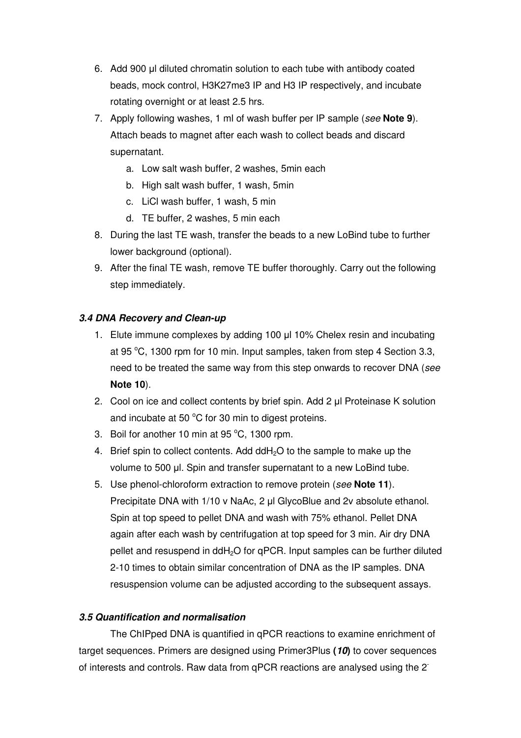- 6. Add 900 µl diluted chromatin solution to each tube with antibody coated beads, mock control, H3K27me3 IP and H3 IP respectively, and incubate rotating overnight or at least 2.5 hrs.
- 7. Apply following washes, 1 ml of wash buffer per IP sample (see **Note 9**). Attach beads to magnet after each wash to collect beads and discard supernatant.
	- a. Low salt wash buffer, 2 washes, 5min each
	- b. High salt wash buffer, 1 wash, 5min
	- c. LiCl wash buffer, 1 wash, 5 min
	- d. TE buffer, 2 washes, 5 min each
- 8. During the last TE wash, transfer the beads to a new LoBind tube to further lower background (optional).
- 9. After the final TE wash, remove TE buffer thoroughly. Carry out the following step immediately.

### **3.4 DNA Recovery and Clean-up**

- 1. Elute immune complexes by adding 100 µl 10% Chelex resin and incubating at 95 $\degree$ C, 1300 rpm for 10 min. Input samples, taken from step 4 Section 3.3, need to be treated the same way from this step onwards to recover DNA (see **Note 10**).
- 2. Cool on ice and collect contents by brief spin. Add 2 µl Proteinase K solution and incubate at 50  $^{\circ}$ C for 30 min to digest proteins.
- 3. Boil for another 10 min at 95 $\degree$ C, 1300 rpm.
- 4. Brief spin to collect contents. Add ddH<sub>2</sub>O to the sample to make up the volume to 500 µl. Spin and transfer supernatant to a new LoBind tube.
- 5. Use phenol-chloroform extraction to remove protein (see **Note 11**). Precipitate DNA with 1/10 v NaAc, 2 µl GlycoBlue and 2v absolute ethanol. Spin at top speed to pellet DNA and wash with 75% ethanol. Pellet DNA again after each wash by centrifugation at top speed for 3 min. Air dry DNA pellet and resuspend in ddH<sub>2</sub>O for qPCR. Input samples can be further diluted 2-10 times to obtain similar concentration of DNA as the IP samples. DNA resuspension volume can be adjusted according to the subsequent assays.

### **3.5 Quantification and normalisation**

The ChIPped DNA is quantified in qPCR reactions to examine enrichment of target sequences. Primers are designed using Primer3Plus **(10)** to cover sequences of interests and controls. Raw data from qPCR reactions are analysed using the 2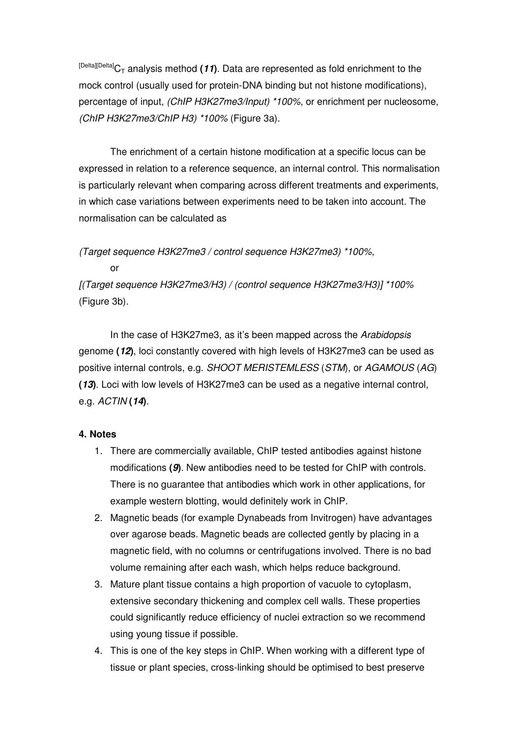$[Delta][Delta]$ <sub>C</sub><sub>T</sub> analysis method (11). Data are represented as fold enrichment to the mock control (usually used for protein-DNA binding but not histone modifications), percentage of input, (ChIP H3K27me3/Input) \*100%, or enrichment per nucleosome, (ChIP H3K27me3/ChIP H3) \*100% (Figure 3a).

The enrichment of a certain histone modification at a specific locus can be expressed in relation to a reference sequence, an internal control. This normalisation is particularly relevant when comparing across different treatments and experiments, in which case variations between experiments need to be taken into account. The normalisation can be calculated as

(Target sequence H3K27me3 / control sequence H3K27me3) \*100%,

or

[(Target sequence H3K27me3/H3) / (control sequence H3K27me3/H3)] \*100% (Figure 3b).

In the case of H3K27me3, as it's been mapped across the Arabidopsis genome **(12)**, loci constantly covered with high levels of H3K27me3 can be used as positive internal controls, e.g. SHOOT MERISTEMLESS (STM), or AGAMOUS (AG) **(13)**. Loci with low levels of H3K27me3 can be used as a negative internal control, e.g. ACTIN **(14)**.

## **4. Notes**

- 1. There are commercially available, ChIP tested antibodies against histone modifications **(9)**. New antibodies need to be tested for ChIP with controls. There is no guarantee that antibodies which work in other applications, for example western blotting, would definitely work in ChIP.
- 2. Magnetic beads (for example Dynabeads from Invitrogen) have advantages over agarose beads. Magnetic beads are collected gently by placing in a magnetic field, with no columns or centrifugations involved. There is no bad volume remaining after each wash, which helps reduce background.
- 3. Mature plant tissue contains a high proportion of vacuole to cytoplasm, extensive secondary thickening and complex cell walls. These properties could significantly reduce efficiency of nuclei extraction so we recommend using young tissue if possible.
- 4. This is one of the key steps in ChIP. When working with a different type of tissue or plant species, cross-linking should be optimised to best preserve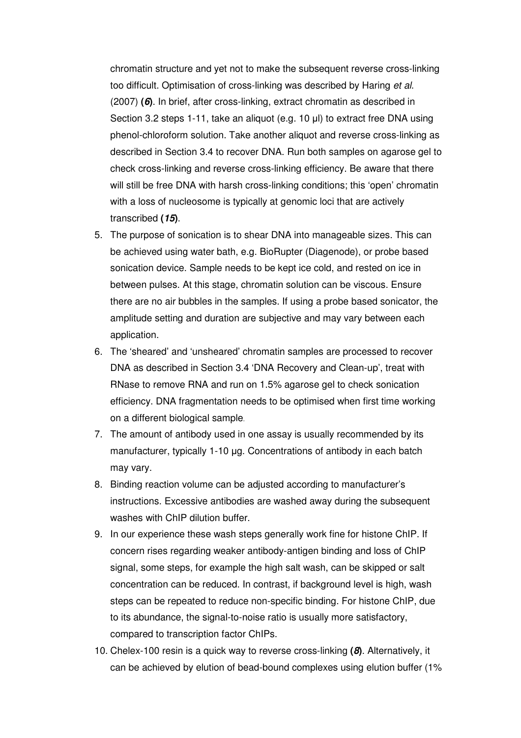chromatin structure and yet not to make the subsequent reverse cross-linking too difficult. Optimisation of cross-linking was described by Haring et al. (2007) **(6)**. In brief, after cross-linking, extract chromatin as described in Section 3.2 steps 1-11, take an aliquot (e.g. 10 µl) to extract free DNA using phenol-chloroform solution. Take another aliquot and reverse cross-linking as described in Section 3.4 to recover DNA. Run both samples on agarose gel to check cross-linking and reverse cross-linking efficiency. Be aware that there will still be free DNA with harsh cross-linking conditions; this 'open' chromatin with a loss of nucleosome is typically at genomic loci that are actively transcribed **(15)**.

- 5. The purpose of sonication is to shear DNA into manageable sizes. This can be achieved using water bath, e.g. BioRupter (Diagenode), or probe based sonication device. Sample needs to be kept ice cold, and rested on ice in between pulses. At this stage, chromatin solution can be viscous. Ensure there are no air bubbles in the samples. If using a probe based sonicator, the amplitude setting and duration are subjective and may vary between each application.
- 6. The 'sheared' and 'unsheared' chromatin samples are processed to recover DNA as described in Section 3.4 'DNA Recovery and Clean-up', treat with RNase to remove RNA and run on 1.5% agarose gel to check sonication efficiency. DNA fragmentation needs to be optimised when first time working on a different biological sample.
- 7. The amount of antibody used in one assay is usually recommended by its manufacturer, typically 1-10 µg. Concentrations of antibody in each batch may vary.
- 8. Binding reaction volume can be adjusted according to manufacturer's instructions. Excessive antibodies are washed away during the subsequent washes with ChIP dilution buffer.
- 9. In our experience these wash steps generally work fine for histone ChIP. If concern rises regarding weaker antibody-antigen binding and loss of ChIP signal, some steps, for example the high salt wash, can be skipped or salt concentration can be reduced. In contrast, if background level is high, wash steps can be repeated to reduce non-specific binding. For histone ChIP, due to its abundance, the signal-to-noise ratio is usually more satisfactory, compared to transcription factor ChIPs.
- 10. Chelex-100 resin is a quick way to reverse cross-linking **(8)**. Alternatively, it can be achieved by elution of bead-bound complexes using elution buffer (1%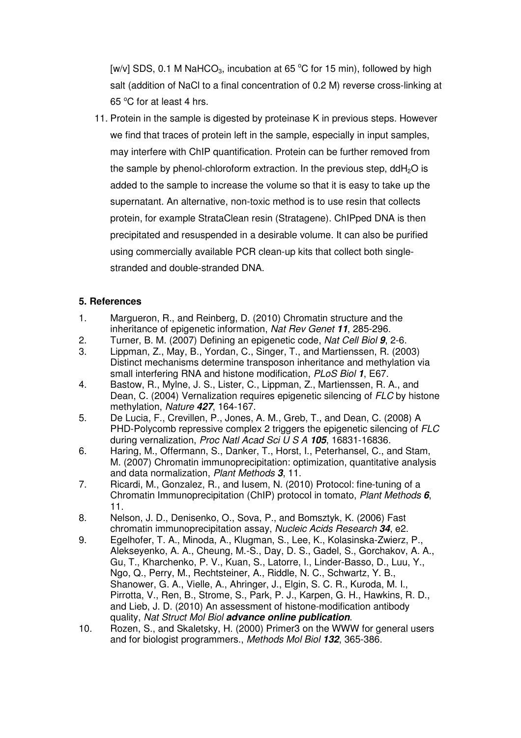[w/v] SDS, 0.1 M NaHCO<sub>3</sub>, incubation at 65  $^{\circ}$ C for 15 min), followed by high salt (addition of NaCl to a final concentration of 0.2 M) reverse cross-linking at 65 °C for at least 4 hrs.

11. Protein in the sample is digested by proteinase K in previous steps. However we find that traces of protein left in the sample, especially in input samples, may interfere with ChIP quantification. Protein can be further removed from the sample by phenol-chloroform extraction. In the previous step,  $ddH<sub>2</sub>O$  is added to the sample to increase the volume so that it is easy to take up the supernatant. An alternative, non-toxic method is to use resin that collects protein, for example StrataClean resin (Stratagene). ChIPped DNA is then precipitated and resuspended in a desirable volume. It can also be purified using commercially available PCR clean-up kits that collect both singlestranded and double-stranded DNA.

## **5. References**

- 1. Margueron, R., and Reinberg, D. (2010) Chromatin structure and the inheritance of epigenetic information, Nat Rev Genet **11**, 285-296.
- 2. Turner, B. M. (2007) Defining an epigenetic code, Nat Cell Biol **9**, 2-6.
- 3. Lippman, Z., May, B., Yordan, C., Singer, T., and Martienssen, R. (2003) Distinct mechanisms determine transposon inheritance and methylation via small interfering RNA and histone modification, PLoS Biol **1**, E67.
- 4. Bastow, R., Mylne, J. S., Lister, C., Lippman, Z., Martienssen, R. A., and Dean, C. (2004) Vernalization requires epigenetic silencing of FLC by histone methylation, Nature **427**, 164-167.
- 5. De Lucia, F., Crevillen, P., Jones, A. M., Greb, T., and Dean, C. (2008) A PHD-Polycomb repressive complex 2 triggers the epigenetic silencing of FLC during vernalization, Proc Natl Acad Sci U S A **105**, 16831-16836.
- 6. Haring, M., Offermann, S., Danker, T., Horst, I., Peterhansel, C., and Stam, M. (2007) Chromatin immunoprecipitation: optimization, quantitative analysis and data normalization, Plant Methods **3**, 11.
- 7. Ricardi, M., Gonzalez, R., and Iusem, N. (2010) Protocol: fine-tuning of a Chromatin Immunoprecipitation (ChIP) protocol in tomato, Plant Methods **6**, 11.
- 8. Nelson, J. D., Denisenko, O., Sova, P., and Bomsztyk, K. (2006) Fast chromatin immunoprecipitation assay, Nucleic Acids Research **34**, e2.
- 9. Egelhofer, T. A., Minoda, A., Klugman, S., Lee, K., Kolasinska-Zwierz, P., Alekseyenko, A. A., Cheung, M.-S., Day, D. S., Gadel, S., Gorchakov, A. A., Gu, T., Kharchenko, P. V., Kuan, S., Latorre, I., Linder-Basso, D., Luu, Y., Ngo, Q., Perry, M., Rechtsteiner, A., Riddle, N. C., Schwartz, Y. B., Shanower, G. A., Vielle, A., Ahringer, J., Elgin, S. C. R., Kuroda, M. I., Pirrotta, V., Ren, B., Strome, S., Park, P. J., Karpen, G. H., Hawkins, R. D., and Lieb, J. D. (2010) An assessment of histone-modification antibody quality, Nat Struct Mol Biol **advance online publication**.
- 10. Rozen, S., and Skaletsky, H. (2000) Primer3 on the WWW for general users and for biologist programmers., Methods Mol Biol **132**, 365-386.